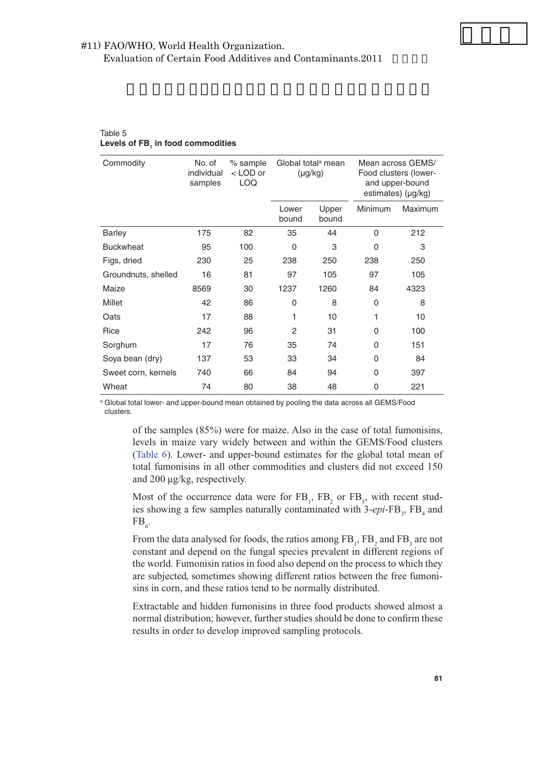## #11) FAO/WHO, World Health Organization. Evaluation of Certain Food Additives and Contaminants.2011

| Commodity           | No. of<br>individual<br>samples | % sample<br><lod or<br=""><b>LOQ</b></lod> | Global total <sup>a</sup> mean<br>$(\mu g/kg)$ |                | Mean across GEMS/<br>Food clusters (lower-<br>and upper-bound<br>estimates) (µg/kg) |         |
|---------------------|---------------------------------|--------------------------------------------|------------------------------------------------|----------------|-------------------------------------------------------------------------------------|---------|
|                     |                                 |                                            | Lower<br>bound                                 | Upper<br>bound | Minimum                                                                             | Maximum |
| <b>Barley</b>       | 175                             | 82                                         | 35                                             | 44             | $\Omega$                                                                            | 212     |
| <b>Buckwheat</b>    | 95                              | 100                                        | 0                                              | 3              | 0                                                                                   | 3       |
| Figs, dried         | 230                             | 25                                         | 238                                            | 250            | 238                                                                                 | 250     |
| Groundnuts, shelled | 16                              | 81                                         | 97                                             | 105            | 97                                                                                  | 105     |
| Maize               | 8569                            | 30                                         | 1237                                           | 1260           | 84                                                                                  | 4323    |
| Millet              | 42                              | 86                                         | 0                                              | 8              | 0                                                                                   | 8       |
| Oats                | 17                              | 88                                         | 1                                              | 10             |                                                                                     | 10      |
| Rice                | 242                             | 96                                         | 2                                              | 31             | 0                                                                                   | 100     |
| Sorghum             | 17                              | 76                                         | 35                                             | 74             | 0                                                                                   | 151     |
| Soya bean (dry)     | 137                             | 53                                         | 33                                             | 34             | 0                                                                                   | 84      |
| Sweet corn, kernels | 740                             | 66                                         | 84                                             | 94             | 0                                                                                   | 397     |
| Wheat               | 74                              | 80                                         | 38                                             | 48             | 0                                                                                   | 221     |

## Table 5 **Levels of FB1 in food commodities**

a Global total lower- and upper-bound mean obtained by pooling the data across all GEMS/Food clusters.

of the samples (85%) were for maize. Also in the case of total fumonisins, total fumonisins in all other commodities and clusters did not exceed 150 and 200 μg/kg, respectively. levels in maize vary widely between and within the GEMS/Food clusters (Table 6). Lower- and upper-bound estimates for the global total mean of

Most of the occurrence data were for  $FB_1$ ,  $FB_2$  or  $FB_3$ , with recent studies showing a few samples naturally contaminated with 3-*epi*-FB<sub>3</sub>, FB<sub>4</sub> and  $FB_{6}$ .

From the data analysed for foods, the ratios among  $FB_1$ ,  $FB_2$  and  $FB_3$  are not constant and depend on the fungal species prevalent in different regions of the world. Fumonisin ratios in food also depend on the process to which they are subjected, sometimes showing different ratios between the free fumonisins in corn, and these ratios tend to be normally distributed.

Extractable and hidden fumonisins in three food products showed almost a normal distribution; however, further studies should be done to confirm these results in order to develop improved sampling protocols.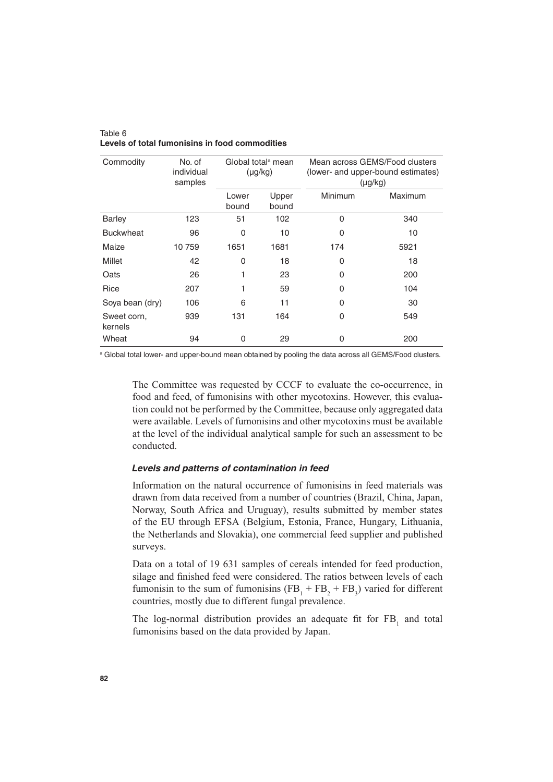| Commodity              | No. of<br>individual<br>samples | Global total <sup>a</sup> mean<br>$(\mu g/kg)$ |                | Mean across GEMS/Food clusters<br>(lower- and upper-bound estimates)<br>$(\mu g/kg)$ |         |  |
|------------------------|---------------------------------|------------------------------------------------|----------------|--------------------------------------------------------------------------------------|---------|--|
|                        |                                 | Lower<br>bound                                 | Upper<br>bound | Minimum                                                                              | Maximum |  |
| <b>Barley</b>          | 123                             | 51                                             | 102            | $\Omega$                                                                             | 340     |  |
| <b>Buckwheat</b>       | 96                              | $\mathbf{0}$                                   | 10             | $\Omega$                                                                             | 10      |  |
| Maize                  | 10759                           | 1651                                           | 1681           | 174                                                                                  | 5921    |  |
| Millet                 | 42                              | 0                                              | 18             | $\Omega$                                                                             | 18      |  |
| Oats                   | 26                              |                                                | 23             | $\Omega$                                                                             | 200     |  |
| Rice                   | 207                             | 1                                              | 59             | $\Omega$                                                                             | 104     |  |
| Soya bean (dry)        | 106                             | 6                                              | 11             | $\Omega$                                                                             | 30      |  |
| Sweet corn,<br>kernels | 939                             | 131                                            | 164            | 0                                                                                    | 549     |  |
| Wheat                  | 94                              | 0                                              | 29             | 0                                                                                    | 200     |  |

Table 6 **Levels of total fumonisins in food commodities**

a Global total lower- and upper-bound mean obtained by pooling the data across all GEMS/Food clusters.

The Committee was requested by CCCF to evaluate the co-occurrence, in food and feed, of fumonisins with other mycotoxins. However, this evaluation could not be performed by the Committee, because only aggregated data were available. Levels of fumonisins and other mycotoxins must be available at the level of the individual analytical sample for such an assessment to be conducted.

## *Levels and patterns of contamination in feed*

Information on the natural occurrence of fumonisins in feed materials was drawn from data received from a number of countries (Brazil, China, Japan, Norway, South Africa and Uruguay), results submitted by member states of the EU through EFSA (Belgium, Estonia, France, Hungary, Lithuania, the Netherlands and Slovakia), one commercial feed supplier and published surveys.

Data on a total of 19 631 samples of cereals intended for feed production, silage and finished feed were considered. The ratios between levels of each fumonisin to the sum of fumonisins  $(FB_1 + FB_2 + FB_3)$  varied for different countries, mostly due to different fungal prevalence.

The log-normal distribution provides an adequate fit for  $FB<sub>1</sub>$  and total fumonisins based on the data provided by Japan.